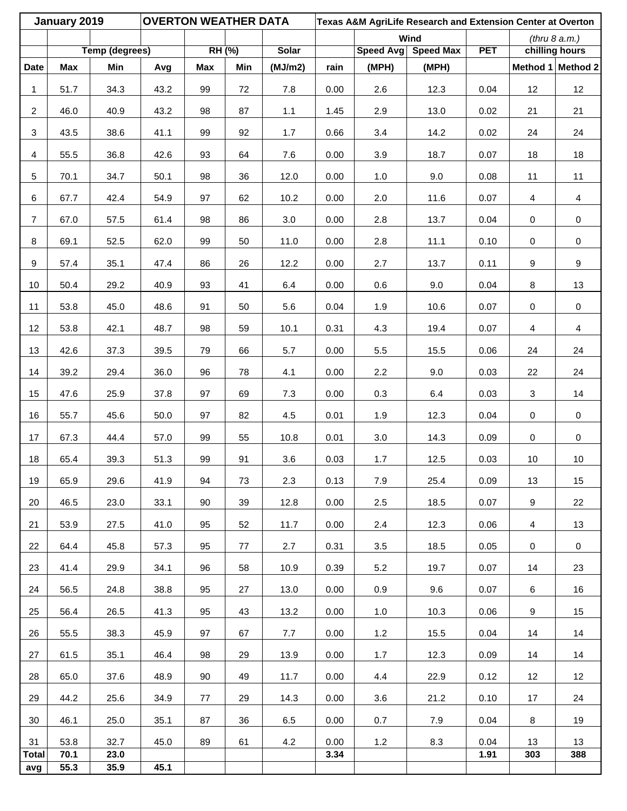|                     | January 2019 |                       | <b>OVERTON WEATHER DATA</b><br>Texas A&M AgriLife Research and Extension Center at Overton<br>Wind<br>(thru 8 a.m.) |            |        |              |      |       |                     |            |             |                   |
|---------------------|--------------|-----------------------|---------------------------------------------------------------------------------------------------------------------|------------|--------|--------------|------|-------|---------------------|------------|-------------|-------------------|
|                     |              | <b>Temp (degrees)</b> |                                                                                                                     |            | RH (%) | <b>Solar</b> |      |       | Speed Avg Speed Max | <b>PET</b> |             | chilling hours    |
| <b>Date</b>         | <b>Max</b>   | Min                   | Avg                                                                                                                 | <b>Max</b> | Min    | (MJ/m2)      | rain | (MPH) | (MPH)               |            |             | Method 1 Method 2 |
| 1                   | 51.7         | 34.3                  | 43.2                                                                                                                | 99         | 72     | $7.8$        | 0.00 | 2.6   | 12.3                | 0.04       | 12          | 12                |
| $\overline{a}$      | 46.0         | 40.9                  | 43.2                                                                                                                | 98         | 87     | $1.1$        | 1.45 | 2.9   | 13.0                | 0.02       | 21          | 21                |
| 3                   | 43.5         | 38.6                  | 41.1                                                                                                                | 99         | 92     | 1.7          | 0.66 | 3.4   | 14.2                | 0.02       | 24          | 24                |
| 4                   | 55.5         | 36.8                  | 42.6                                                                                                                | 93         | 64     | 7.6          | 0.00 | 3.9   | 18.7                | 0.07       | 18          | $18$              |
| 5                   | 70.1         | 34.7                  | 50.1                                                                                                                | 98         | 36     | 12.0         | 0.00 | 1.0   | 9.0                 | 0.08       | 11          | 11                |
| 6                   | 67.7         | 42.4                  | 54.9                                                                                                                | 97         | 62     | 10.2         | 0.00 | 2.0   | 11.6                | 0.07       | 4           | 4                 |
| $\overline{7}$      | 67.0         | 57.5                  | 61.4                                                                                                                | 98         | 86     | $3.0\,$      | 0.00 | 2.8   | 13.7                | 0.04       | $\mathbf 0$ | $\pmb{0}$         |
| 8                   | 69.1         | 52.5                  | 62.0                                                                                                                | 99         | 50     | 11.0         | 0.00 | 2.8   | 11.1                | 0.10       | $\pmb{0}$   | $\pmb{0}$         |
| 9                   | 57.4         | 35.1                  | 47.4                                                                                                                | 86         | 26     | 12.2         | 0.00 | 2.7   | 13.7                | 0.11       | 9           | $\boldsymbol{9}$  |
| 10                  | 50.4         | 29.2                  | 40.9                                                                                                                | 93         | 41     | 6.4          | 0.00 | 0.6   | 9.0                 | 0.04       | 8           | 13                |
| 11                  | 53.8         | 45.0                  | 48.6                                                                                                                | 91         | 50     | 5.6          | 0.04 | 1.9   | 10.6                | 0.07       | $\pmb{0}$   | $\pmb{0}$         |
| 12                  | 53.8         | 42.1                  | 48.7                                                                                                                | 98         | 59     | 10.1         | 0.31 | 4.3   | 19.4                | 0.07       | 4           | $\overline{4}$    |
| 13                  | 42.6         | 37.3                  | 39.5                                                                                                                | 79         | 66     | 5.7          | 0.00 | 5.5   | 15.5                | 0.06       | 24          | 24                |
| 14                  | 39.2         | 29.4                  | 36.0                                                                                                                | 96         | 78     | 4.1          | 0.00 | 2.2   | 9.0                 | 0.03       | 22          | 24                |
| 15                  | 47.6         | 25.9                  | 37.8                                                                                                                | 97         | 69     | 7.3          | 0.00 | 0.3   | 6.4                 | 0.03       | 3           | 14                |
| 16                  | 55.7         | 45.6                  | 50.0                                                                                                                | 97         | 82     | 4.5          | 0.01 | 1.9   | 12.3                | 0.04       | $\mathbf 0$ | $\pmb{0}$         |
| 17                  | 67.3         | 44.4                  | 57.0                                                                                                                | 99         | 55     | 10.8         | 0.01 | 3.0   | 14.3                | 0.09       | $\pmb{0}$   | $\pmb{0}$         |
| 18                  | 65.4         | 39.3                  | 51.3                                                                                                                | 99         | 91     | 3.6          | 0.03 | 1.7   | 12.5                | 0.03       | $10\,$      | $10$              |
| 19                  | 65.9         | 29.6                  | 41.9                                                                                                                | 94         | 73     | 2.3          | 0.13 | 7.9   | 25.4                | 0.09       | 13          | 15                |
| 20                  | 46.5         | 23.0                  | 33.1                                                                                                                | 90         | 39     | 12.8         | 0.00 | 2.5   | 18.5                | 0.07       | 9           | 22                |
| 21                  | 53.9         | 27.5                  | 41.0                                                                                                                | 95         | 52     | 11.7         | 0.00 | 2.4   | 12.3                | 0.06       | 4           | 13                |
| 22                  | 64.4         | 45.8                  | 57.3                                                                                                                | 95         | 77     | 2.7          | 0.31 | 3.5   | 18.5                | 0.05       | $\mathbf 0$ | $\mathbf 0$       |
| 23                  | 41.4         | 29.9                  | 34.1                                                                                                                | 96         | 58     | 10.9         | 0.39 | 5.2   | 19.7                | 0.07       | 14          | 23                |
| 24                  | 56.5         | 24.8                  | 38.8                                                                                                                | 95         | 27     | 13.0         | 0.00 | 0.9   | 9.6                 | 0.07       | 6           | 16                |
| 25                  | 56.4         | 26.5                  | 41.3                                                                                                                | 95         | 43     | 13.2         | 0.00 | 1.0   | 10.3                | 0.06       | 9           | 15                |
| 26                  | 55.5         | 38.3                  | 45.9                                                                                                                | 97         | 67     | 7.7          | 0.00 | 1.2   | 15.5                | 0.04       | 14          | 14                |
| 27                  | 61.5         | 35.1                  | 46.4                                                                                                                | 98         | 29     | 13.9         | 0.00 | 1.7   | 12.3                | 0.09       | 14          | 14                |
| 28                  | 65.0         | 37.6                  | 48.9                                                                                                                | 90         | 49     | 11.7         | 0.00 | 4.4   | 22.9                | 0.12       | 12          | 12                |
| 29                  | 44.2         | 25.6                  | 34.9                                                                                                                | 77         | 29     | 14.3         | 0.00 | 3.6   | 21.2                | 0.10       | 17          | 24                |
| 30                  | 46.1         | 25.0                  | 35.1                                                                                                                | 87         | 36     | 6.5          | 0.00 | 0.7   | 7.9                 | 0.04       | 8           | 19                |
| 31                  | 53.8         | 32.7                  | 45.0                                                                                                                | 89         | 61     | 4.2          | 0.00 | 1.2   | 8.3                 | 0.04       | 13          | 13                |
| <b>Total</b><br>avg | 70.1<br>55.3 | 23.0<br>35.9          | 45.1                                                                                                                |            |        |              | 3.34 |       |                     | 1.91       | 303         | 388               |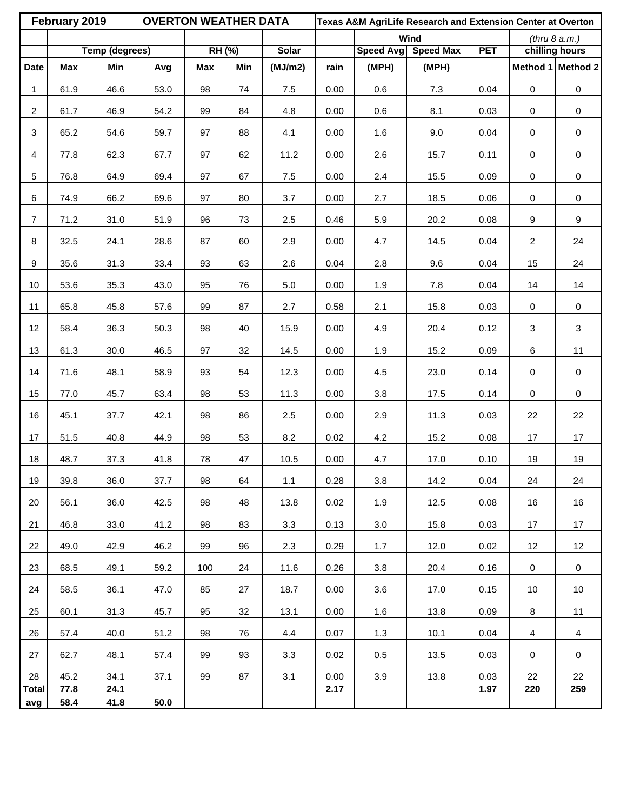|                | February 2019 |                | <b>OVERTON WEATHER DATA</b> |            |        |              |      |           |                  | Texas A&M AgriLife Research and Extension Center at Overton<br>(thru 8 a.m.) |                |                     |  |
|----------------|---------------|----------------|-----------------------------|------------|--------|--------------|------|-----------|------------------|------------------------------------------------------------------------------|----------------|---------------------|--|
|                |               |                |                             |            |        |              |      |           | Wind             |                                                                              |                |                     |  |
|                |               | Temp (degrees) |                             |            | RH (%) | <b>Solar</b> |      | Speed Avg | <b>Speed Max</b> | <b>PET</b>                                                                   |                | chilling hours      |  |
| <b>Date</b>    | <b>Max</b>    | Min            | Avg                         | <b>Max</b> | Min    | (MJ/m2)      | rain | (MPH)     | (MPH)            |                                                                              |                | Method 1 Method 2   |  |
| 1              | 61.9          | 46.6           | 53.0                        | 98         | 74     | 7.5          | 0.00 | 0.6       | 7.3              | 0.04                                                                         | $\pmb{0}$      | $\pmb{0}$           |  |
| $\overline{a}$ | 61.7          | 46.9           | 54.2                        | 99         | 84     | 4.8          | 0.00 | 0.6       | 8.1              | 0.03                                                                         | $\pmb{0}$      | $\pmb{0}$           |  |
| 3              | 65.2          | 54.6           | 59.7                        | 97         | 88     | 4.1          | 0.00 | 1.6       | 9.0              | 0.04                                                                         | $\mathbf 0$    | $\pmb{0}$           |  |
| $\overline{4}$ | 77.8          | 62.3           | 67.7                        | 97         | 62     | 11.2         | 0.00 | 2.6       | 15.7             | 0.11                                                                         | $\mathbf 0$    | $\pmb{0}$           |  |
| 5              | 76.8          | 64.9           | 69.4                        | 97         | 67     | 7.5          | 0.00 | 2.4       | 15.5             | 0.09                                                                         | $\mathsf 0$    | $\pmb{0}$           |  |
| 6              | 74.9          | 66.2           | 69.6                        | 97         | 80     | 3.7          | 0.00 | 2.7       | 18.5             | 0.06                                                                         | $\pmb{0}$      | $\pmb{0}$           |  |
| $\overline{7}$ | 71.2          | 31.0           | 51.9                        | 96         | 73     | 2.5          | 0.46 | 5.9       | 20.2             | 0.08                                                                         | 9              | $\boldsymbol{9}$    |  |
| 8              | 32.5          | 24.1           | 28.6                        | 87         | 60     | 2.9          | 0.00 | 4.7       | 14.5             | 0.04                                                                         | $\overline{a}$ | 24                  |  |
| 9              | 35.6          | 31.3           | 33.4                        | 93         | 63     | 2.6          | 0.04 | 2.8       | 9.6              | 0.04                                                                         | 15             | 24                  |  |
| 10             | 53.6          | 35.3           | 43.0                        | 95         | 76     | $5.0$        | 0.00 | 1.9       | 7.8              | 0.04                                                                         | 14             | 14                  |  |
| 11             | 65.8          | 45.8           | 57.6                        | 99         | 87     | 2.7          | 0.58 | 2.1       | 15.8             | 0.03                                                                         | $\pmb{0}$      | $\pmb{0}$           |  |
| 12             | 58.4          | 36.3           | 50.3                        | 98         | 40     | 15.9         | 0.00 | 4.9       | 20.4             | 0.12                                                                         | 3              | 3                   |  |
| 13             | 61.3          | 30.0           | 46.5                        | 97         | 32     | 14.5         | 0.00 | 1.9       | 15.2             | 0.09                                                                         | 6              | 11                  |  |
| 14             | 71.6          | 48.1           | 58.9                        | 93         | 54     | 12.3         | 0.00 | 4.5       | 23.0             | 0.14                                                                         | $\pmb{0}$      | $\pmb{0}$           |  |
| 15             | 77.0          | 45.7           | 63.4                        | 98         | 53     | 11.3         | 0.00 | 3.8       | 17.5             | 0.14                                                                         | $\mathsf 0$    | $\mathsf{O}\xspace$ |  |
| 16             | 45.1          | 37.7           | 42.1                        | 98         | 86     | 2.5          | 0.00 | 2.9       | 11.3             | 0.03                                                                         | 22             | 22                  |  |
| 17             | 51.5          | 40.8           | 44.9                        | 98         | 53     | 8.2          | 0.02 | 4.2       | 15.2             | 0.08                                                                         | 17             | 17                  |  |
| 18             | 48.7          | 37.3           | 41.8                        | 78         | 47     | 10.5         | 0.00 | 4.7       | 17.0             | 0.10                                                                         | 19             | 19                  |  |
| 19             | 39.8          | 36.0           | 37.7                        | 98         | 64     | 1.1          | 0.28 | 3.8       | 14.2             | 0.04                                                                         | 24             | 24                  |  |
| 20             | 56.1          | 36.0           | 42.5                        | 98         | 48     | 13.8         | 0.02 | 1.9       | 12.5             | 0.08                                                                         | 16             | 16                  |  |
| 21             | 46.8          | 33.0           | 41.2                        | 98         | 83     | 3.3          | 0.13 | 3.0       | 15.8             | 0.03                                                                         | 17             | 17                  |  |
| 22             | 49.0          | 42.9           | 46.2                        | 99         | 96     | 2.3          | 0.29 | 1.7       | 12.0             | 0.02                                                                         | 12             | 12                  |  |
| 23             | 68.5          | 49.1           | 59.2                        | 100        | 24     | 11.6         | 0.26 | 3.8       | 20.4             | 0.16                                                                         | 0              | $\mathbf 0$         |  |
| 24             | 58.5          | 36.1           | 47.0                        | 85         | 27     | 18.7         | 0.00 | 3.6       | 17.0             | 0.15                                                                         | 10             | 10                  |  |
| 25             | 60.1          | 31.3           | 45.7                        | 95         | 32     | 13.1         | 0.00 | 1.6       | 13.8             | 0.09                                                                         | 8              | 11                  |  |
| 26             | 57.4          | 40.0           | 51.2                        | 98         | 76     | 4.4          | 0.07 | 1.3       | 10.1             | 0.04                                                                         | $\overline{4}$ | $\overline{4}$      |  |
| 27             | 62.7          | 48.1           | 57.4                        | 99         | 93     | 3.3          | 0.02 | 0.5       | 13.5             | 0.03                                                                         | 0              | 0                   |  |
| 28             | 45.2          | 34.1           | 37.1                        | 99         | 87     | 3.1          | 0.00 | 3.9       | 13.8             | 0.03                                                                         | 22             | 22                  |  |
| <b>Total</b>   | 77.8          | 24.1           |                             |            |        |              | 2.17 |           |                  | 1.97                                                                         | 220            | 259                 |  |
| avg            | 58.4          | 41.8           | 50.0                        |            |        |              |      |           |                  |                                                                              |                |                     |  |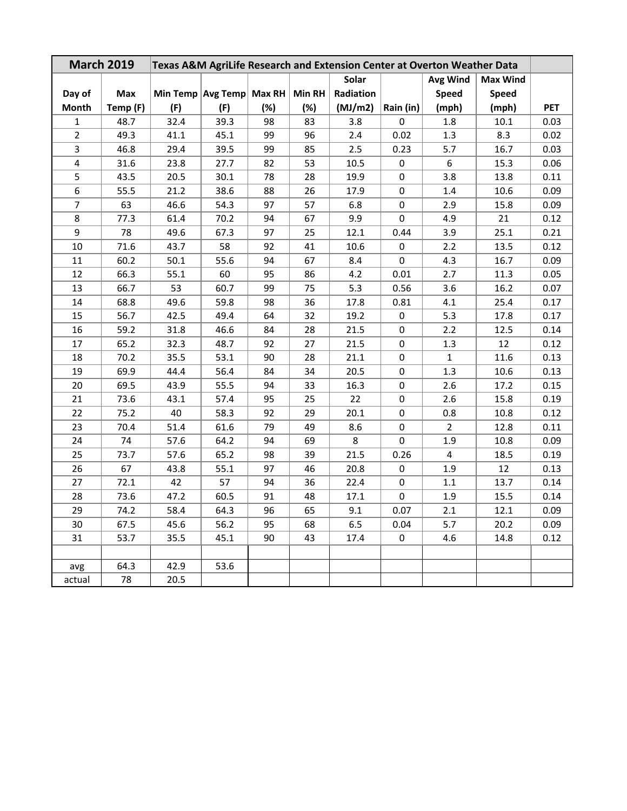| <b>March 2019</b><br>Texas A&M AgriLife Research and Extension Center at Overton Weather Data<br>Solar<br>Avg Wind<br><b>Max Wind</b> |            |      |                   |        |               |           |             |                |              |            |
|---------------------------------------------------------------------------------------------------------------------------------------|------------|------|-------------------|--------|---------------|-----------|-------------|----------------|--------------|------------|
|                                                                                                                                       |            |      |                   |        |               |           |             |                |              |            |
| Day of                                                                                                                                | <b>Max</b> |      | Min Temp Avg Temp | Max RH | <b>Min RH</b> | Radiation |             | <b>Speed</b>   | <b>Speed</b> |            |
| Month                                                                                                                                 | Temp (F)   | (F)  | (F)               | (%)    | (%)           | (MJ/m2)   | Rain (in)   | (mph)          | (mph)        | <b>PET</b> |
| $\mathbf{1}$                                                                                                                          | 48.7       | 32.4 | 39.3              | 98     | 83            | 3.8       | 0           | 1.8            | 10.1         | 0.03       |
| $\overline{2}$                                                                                                                        | 49.3       | 41.1 | 45.1              | 99     | 96            | 2.4       | 0.02        | 1.3            | 8.3          | 0.02       |
| $\mathbf{3}$                                                                                                                          | 46.8       | 29.4 | 39.5              | 99     | 85            | 2.5       | 0.23        | 5.7            | 16.7         | 0.03       |
| $\overline{\mathbf{4}}$                                                                                                               | 31.6       | 23.8 | 27.7              | 82     | 53            | 10.5      | 0           | 6              | 15.3         | 0.06       |
| 5                                                                                                                                     | 43.5       | 20.5 | 30.1              | 78     | 28            | 19.9      | 0           | 3.8            | 13.8         | 0.11       |
| 6                                                                                                                                     | 55.5       | 21.2 | 38.6              | 88     | 26            | 17.9      | 0           | 1.4            | 10.6         | 0.09       |
| $\overline{\mathcal{I}}$                                                                                                              | 63         | 46.6 | 54.3              | 97     | 57            | 6.8       | 0           | 2.9            | 15.8         | 0.09       |
| 8                                                                                                                                     | 77.3       | 61.4 | 70.2              | 94     | 67            | 9.9       | $\mathsf 0$ | 4.9            | 21           | 0.12       |
| 9                                                                                                                                     | 78         | 49.6 | 67.3              | 97     | 25            | 12.1      | 0.44        | 3.9            | 25.1         | 0.21       |
| 10                                                                                                                                    | 71.6       | 43.7 | 58                | 92     | 41            | 10.6      | $\pmb{0}$   | 2.2            | 13.5         | 0.12       |
| 11                                                                                                                                    | 60.2       | 50.1 | 55.6              | 94     | 67            | 8.4       | 0           | 4.3            | 16.7         | 0.09       |
| 12                                                                                                                                    | 66.3       | 55.1 | 60                | 95     | 86            | 4.2       | 0.01        | 2.7            | 11.3         | 0.05       |
| 13                                                                                                                                    | 66.7       | 53   | 60.7              | 99     | 75            | 5.3       | 0.56        | 3.6            | 16.2         | 0.07       |
| 14                                                                                                                                    | 68.8       | 49.6 | 59.8              | 98     | 36            | 17.8      | 0.81        | 4.1            | 25.4         | 0.17       |
| 15                                                                                                                                    | 56.7       | 42.5 | 49.4              | 64     | 32            | 19.2      | $\pmb{0}$   | 5.3            | 17.8         | 0.17       |
| 16                                                                                                                                    | 59.2       | 31.8 | 46.6              | 84     | 28            | 21.5      | $\pmb{0}$   | 2.2            | 12.5         | 0.14       |
| 17                                                                                                                                    | 65.2       | 32.3 | 48.7              | 92     | 27            | 21.5      | $\mathbf 0$ | 1.3            | 12           | 0.12       |
| 18                                                                                                                                    | 70.2       | 35.5 | 53.1              | 90     | 28            | 21.1      | $\mathsf 0$ | $\mathbf{1}$   | 11.6         | 0.13       |
| 19                                                                                                                                    | 69.9       | 44.4 | 56.4              | 84     | 34            | 20.5      | $\pmb{0}$   | 1.3            | 10.6         | 0.13       |
| 20                                                                                                                                    | 69.5       | 43.9 | 55.5              | 94     | 33            | 16.3      | $\mathbf 0$ | 2.6            | 17.2         | 0.15       |
| 21                                                                                                                                    | 73.6       | 43.1 | 57.4              | 95     | 25            | 22        | $\mathbf 0$ | 2.6            | 15.8         | 0.19       |
| 22                                                                                                                                    | 75.2       | 40   | 58.3              | 92     | 29            | 20.1      | $\mathbf 0$ | 0.8            | 10.8         | 0.12       |
| 23                                                                                                                                    | 70.4       | 51.4 | 61.6              | 79     | 49            | 8.6       | $\mathbf 0$ | $\overline{2}$ | 12.8         | 0.11       |
| 24                                                                                                                                    | 74         | 57.6 | 64.2              | 94     | 69            | 8         | $\pmb{0}$   | 1.9            | 10.8         | 0.09       |
| 25                                                                                                                                    | 73.7       | 57.6 | 65.2              | 98     | 39            | 21.5      | 0.26        | 4              | 18.5         | 0.19       |
| 26                                                                                                                                    | 67         | 43.8 | 55.1              | 97     | 46            | 20.8      | 0           | 1.9            | 12           | 0.13       |
| 27                                                                                                                                    | 72.1       | 42   | 57                | 94     | 36            | 22.4      | 0           | 1.1            | 13.7         | 0.14       |
| 28                                                                                                                                    | 73.6       | 47.2 | 60.5              | 91     | 48            | 17.1      | $\pmb{0}$   | 1.9            | 15.5         | 0.14       |
| 29                                                                                                                                    | 74.2       | 58.4 | 64.3              | 96     | 65            | 9.1       | 0.07        | 2.1            | 12.1         | 0.09       |
| 30                                                                                                                                    | 67.5       | 45.6 | 56.2              | 95     | 68            | $6.5\,$   | 0.04        | 5.7            | 20.2         | 0.09       |
| 31                                                                                                                                    | 53.7       | 35.5 | 45.1              | 90     | 43            | 17.4      | 0           | 4.6            | 14.8         | 0.12       |
|                                                                                                                                       |            |      |                   |        |               |           |             |                |              |            |
| avg                                                                                                                                   | 64.3       | 42.9 | 53.6              |        |               |           |             |                |              |            |
| actual                                                                                                                                | 78         | 20.5 |                   |        |               |           |             |                |              |            |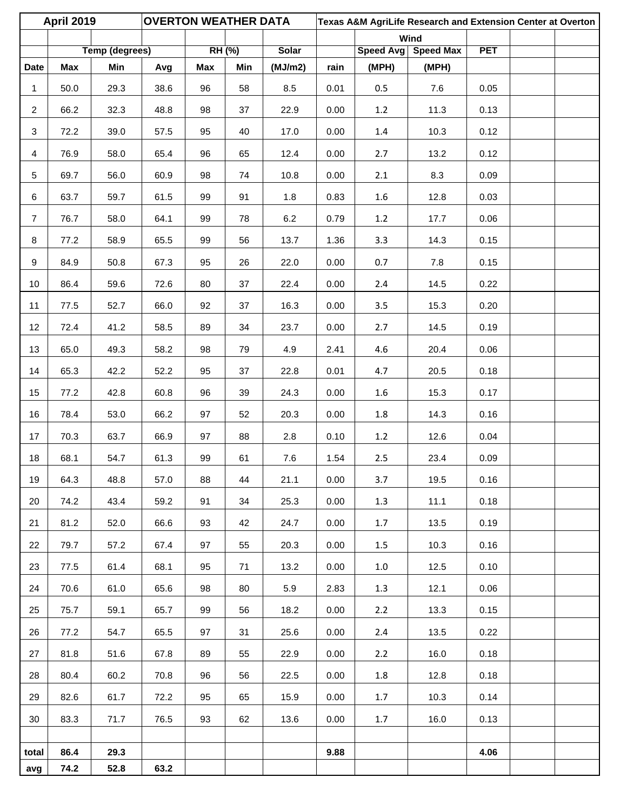|                | <b>April 2019</b> |                       | <b>OVERTON WEATHER DATA</b> |     |               |              |      |                    | Texas A&M AgriLife Research and Extension Center at Overton |            |  |
|----------------|-------------------|-----------------------|-----------------------------|-----|---------------|--------------|------|--------------------|-------------------------------------------------------------|------------|--|
|                |                   | <b>Temp (degrees)</b> |                             |     |               | <b>Solar</b> |      |                    | Wind                                                        | <b>PET</b> |  |
| <b>Date</b>    | Max               | Min                   | Avg                         | Max | RH (%)<br>Min | (MJ/m2)      | rain | Speed Avg<br>(MPH) | <b>Speed Max</b><br>(MPH)                                   |            |  |
| 1              | 50.0              | 29.3                  | 38.6                        | 96  | 58            | 8.5          | 0.01 | 0.5                | $7.6\,$                                                     | 0.05       |  |
| $\overline{2}$ | 66.2              | 32.3                  | 48.8                        | 98  | 37            | 22.9         | 0.00 | 1.2                | 11.3                                                        | 0.13       |  |
| 3              | 72.2              | 39.0                  | 57.5                        | 95  | 40            | 17.0         | 0.00 | $1.4\,$            | 10.3                                                        | 0.12       |  |
| $\overline{4}$ | 76.9              | 58.0                  | 65.4                        | 96  | 65            | 12.4         | 0.00 | 2.7                | 13.2                                                        | 0.12       |  |
| 5              | 69.7              | 56.0                  | 60.9                        | 98  | 74            | 10.8         | 0.00 | 2.1                | 8.3                                                         | 0.09       |  |
| 6              | 63.7              | 59.7                  | 61.5                        | 99  | 91            | 1.8          | 0.83 | $1.6\,$            | 12.8                                                        | 0.03       |  |
| $\overline{7}$ | 76.7              | 58.0                  | 64.1                        | 99  | 78            | 6.2          | 0.79 | 1.2                | 17.7                                                        | 0.06       |  |
| 8              | 77.2              | 58.9                  | 65.5                        | 99  | 56            | 13.7         | 1.36 | 3.3                | 14.3                                                        | 0.15       |  |
| 9              | 84.9              | 50.8                  | 67.3                        | 95  | 26            | 22.0         | 0.00 | 0.7                | 7.8                                                         | 0.15       |  |
| 10             | 86.4              | 59.6                  | 72.6                        | 80  | 37            | 22.4         | 0.00 | 2.4                | 14.5                                                        | 0.22       |  |
| 11             | 77.5              | 52.7                  | 66.0                        | 92  | 37            | 16.3         | 0.00 | 3.5                | 15.3                                                        | 0.20       |  |
| 12             | 72.4              | 41.2                  | 58.5                        | 89  | 34            | 23.7         | 0.00 | 2.7                | 14.5                                                        | 0.19       |  |
| 13             | 65.0              | 49.3                  | 58.2                        | 98  | 79            | 4.9          | 2.41 | 4.6                | 20.4                                                        | 0.06       |  |
| 14             | 65.3              | 42.2                  | 52.2                        | 95  | 37            | 22.8         | 0.01 | 4.7                | 20.5                                                        | 0.18       |  |
| 15             | 77.2              | 42.8                  | 60.8                        | 96  | 39            | 24.3         | 0.00 | $1.6\,$            | 15.3                                                        | 0.17       |  |
| 16             | 78.4              | 53.0                  | 66.2                        | 97  | 52            | 20.3         | 0.00 | 1.8                | 14.3                                                        | 0.16       |  |
| 17             | 70.3              | 63.7                  | 66.9                        | 97  | 88            | 2.8          | 0.10 | $1.2\,$            | 12.6                                                        | 0.04       |  |
| 18             | 68.1              | 54.7                  | 61.3                        | 99  | 61            | 7.6          | 1.54 | 2.5                | 23.4                                                        | 0.09       |  |
| 19             | 64.3              | 48.8                  | 57.0                        | 88  | 44            | 21.1         | 0.00 | 3.7                | 19.5                                                        | 0.16       |  |
| 20             | 74.2              | 43.4                  | 59.2                        | 91  | 34            | 25.3         | 0.00 | 1.3                | 11.1                                                        | 0.18       |  |
| 21             | 81.2              | 52.0                  | 66.6                        | 93  | 42            | 24.7         | 0.00 | 1.7                | 13.5                                                        | 0.19       |  |
| 22             | 79.7              | 57.2                  | 67.4                        | 97  | 55            | 20.3         | 0.00 | 1.5                | 10.3                                                        | 0.16       |  |
| 23             | 77.5              | 61.4                  | 68.1                        | 95  | 71            | 13.2         | 0.00 | $1.0\,$            | 12.5                                                        | 0.10       |  |
| 24             | 70.6              | 61.0                  | 65.6                        | 98  | 80            | 5.9          | 2.83 | 1.3                | 12.1                                                        | 0.06       |  |
| 25             | 75.7              | 59.1                  | 65.7                        | 99  | 56            | 18.2         | 0.00 | 2.2                | 13.3                                                        | 0.15       |  |
| 26             | 77.2              | 54.7                  | 65.5                        | 97  | 31            | 25.6         | 0.00 | 2.4                | 13.5                                                        | 0.22       |  |
| 27             | 81.8              | 51.6                  | 67.8                        | 89  | 55            | 22.9         | 0.00 | 2.2                | 16.0                                                        | 0.18       |  |
| 28             | 80.4              | 60.2                  | 70.8                        | 96  | 56            | 22.5         | 0.00 | 1.8                | 12.8                                                        | 0.18       |  |
| 29             | 82.6              | 61.7                  | 72.2                        | 95  | 65            | 15.9         | 0.00 | 1.7                | 10.3                                                        | 0.14       |  |
| 30             | 83.3              | 71.7                  | 76.5                        | 93  | 62            | 13.6         | 0.00 | 1.7                | 16.0                                                        | 0.13       |  |
|                |                   |                       |                             |     |               |              |      |                    |                                                             |            |  |
| total<br>avg   | 86.4<br>74.2      | 29.3<br>52.8          | 63.2                        |     |               |              | 9.88 |                    |                                                             | 4.06       |  |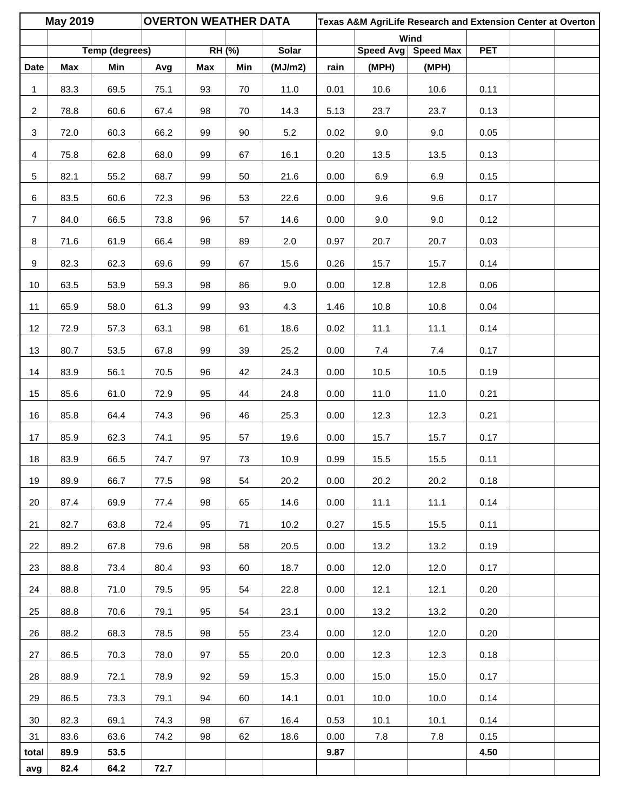|                 | <b>May 2019</b> |                              | <b>OVERTON WEATHER DATA</b> |     |               |                         |      |                    | Texas A&M AgriLife Research and Extension Center at Overton |            |  |
|-----------------|-----------------|------------------------------|-----------------------------|-----|---------------|-------------------------|------|--------------------|-------------------------------------------------------------|------------|--|
|                 |                 |                              |                             |     |               |                         |      |                    | Wind                                                        |            |  |
| <b>Date</b>     | Max             | <b>Temp (degrees)</b><br>Min | Avg                         | Max | RH (%)<br>Min | <b>Solar</b><br>(MJ/m2) | rain | Speed Avg<br>(MPH) | <b>Speed Max</b><br>(MPH)                                   | <b>PET</b> |  |
|                 |                 |                              |                             |     |               |                         |      |                    |                                                             |            |  |
| 1               | 83.3            | 69.5                         | 75.1                        | 93  | 70            | 11.0                    | 0.01 | 10.6               | 10.6                                                        | 0.11       |  |
| $\overline{2}$  | 78.8            | 60.6                         | 67.4                        | 98  | 70            | 14.3                    | 5.13 | 23.7               | 23.7                                                        | 0.13       |  |
| $\mathbf{3}$    | 72.0            | 60.3                         | 66.2                        | 99  | 90            | $5.2\,$                 | 0.02 | 9.0                | 9.0                                                         | 0.05       |  |
| $\overline{4}$  | 75.8            | 62.8                         | 68.0                        | 99  | 67            | 16.1                    | 0.20 | 13.5               | 13.5                                                        | 0.13       |  |
| 5               | 82.1            | 55.2                         | 68.7                        | 99  | 50            | 21.6                    | 0.00 | 6.9                | 6.9                                                         | 0.15       |  |
| 6               | 83.5            | 60.6                         | 72.3                        | 96  | 53            | 22.6                    | 0.00 | 9.6                | 9.6                                                         | 0.17       |  |
| $\overline{7}$  | 84.0            | 66.5                         | 73.8                        | 96  | 57            | 14.6                    | 0.00 | 9.0                | 9.0                                                         | 0.12       |  |
| 8               | 71.6            | 61.9                         | 66.4                        | 98  | 89            | 2.0                     | 0.97 | 20.7               | 20.7                                                        | 0.03       |  |
| 9               | 82.3            | 62.3                         | 69.6                        | 99  | 67            | 15.6                    | 0.26 | 15.7               | 15.7                                                        | 0.14       |  |
| 10 <sup>°</sup> | 63.5            | 53.9                         | 59.3                        | 98  | 86            | 9.0                     | 0.00 | 12.8               | 12.8                                                        | 0.06       |  |
| 11              | 65.9            | 58.0                         | 61.3                        | 99  | 93            | 4.3                     | 1.46 | 10.8               | 10.8                                                        | 0.04       |  |
| 12              | 72.9            | 57.3                         | 63.1                        | 98  | 61            | 18.6                    | 0.02 | 11.1               | 11.1                                                        | 0.14       |  |
| 13              | 80.7            | 53.5                         | 67.8                        | 99  | 39            | 25.2                    | 0.00 | 7.4                | $7.4$                                                       | 0.17       |  |
| 14              | 83.9            | 56.1                         | 70.5                        | 96  | 42            | 24.3                    | 0.00 | 10.5               | 10.5                                                        | 0.19       |  |
| 15              | 85.6            | 61.0                         | 72.9                        | 95  | 44            | 24.8                    | 0.00 | 11.0               | 11.0                                                        | 0.21       |  |
| 16              | 85.8            | 64.4                         | 74.3                        | 96  | 46            | 25.3                    | 0.00 | 12.3               | 12.3                                                        | 0.21       |  |
| 17              | 85.9            | 62.3                         | 74.1                        | 95  | 57            | 19.6                    | 0.00 | 15.7               | 15.7                                                        | 0.17       |  |
| 18              | 83.9            | 66.5                         | 74.7                        | 97  | 73            | 10.9                    | 0.99 | 15.5               | 15.5                                                        | 0.11       |  |
| 19              | 89.9            | 66.7                         | 77.5                        | 98  | 54            | 20.2                    | 0.00 | 20.2               | 20.2                                                        | 0.18       |  |
| 20              | 87.4            | 69.9                         | 77.4                        | 98  | 65            | 14.6                    | 0.00 | 11.1               | 11.1                                                        | 0.14       |  |
| 21              | 82.7            | 63.8                         | 72.4                        | 95  | 71            | 10.2                    | 0.27 | 15.5               | 15.5                                                        | 0.11       |  |
| 22              | 89.2            | 67.8                         | 79.6                        | 98  | 58            | 20.5                    | 0.00 | 13.2               | 13.2                                                        | 0.19       |  |
| 23              | 88.8            | 73.4                         | 80.4                        | 93  | 60            | 18.7                    | 0.00 | 12.0               | 12.0                                                        | 0.17       |  |
| 24              | 88.8            | 71.0                         | 79.5                        | 95  | 54            | 22.8                    | 0.00 | 12.1               | 12.1                                                        | 0.20       |  |
| 25              | 88.8            | 70.6                         | 79.1                        | 95  | 54            | 23.1                    | 0.00 | 13.2               | 13.2                                                        | 0.20       |  |
| 26              | 88.2            | 68.3                         | 78.5                        | 98  | 55            | 23.4                    | 0.00 | 12.0               | 12.0                                                        | 0.20       |  |
| 27              | 86.5            | 70.3                         | 78.0                        | 97  | 55            | 20.0                    | 0.00 | 12.3               | 12.3                                                        | 0.18       |  |
| 28              | 88.9            | 72.1                         | 78.9                        | 92  | 59            | 15.3                    | 0.00 | 15.0               | 15.0                                                        | 0.17       |  |
| 29              | 86.5            | 73.3                         | 79.1                        | 94  | 60            | 14.1                    | 0.01 | 10.0               | 10.0                                                        | 0.14       |  |
| 30              | 82.3            | 69.1                         | 74.3                        | 98  | 67            | 16.4                    | 0.53 | 10.1               | 10.1                                                        | 0.14       |  |
| 31              | 83.6            | 63.6                         | 74.2                        | 98  | 62            | 18.6                    | 0.00 | 7.8                | $7.8$                                                       | 0.15       |  |
| total           | 89.9            | 53.5                         |                             |     |               |                         | 9.87 |                    |                                                             | 4.50       |  |
| avg             | 82.4            | 64.2                         | 72.7                        |     |               |                         |      |                    |                                                             |            |  |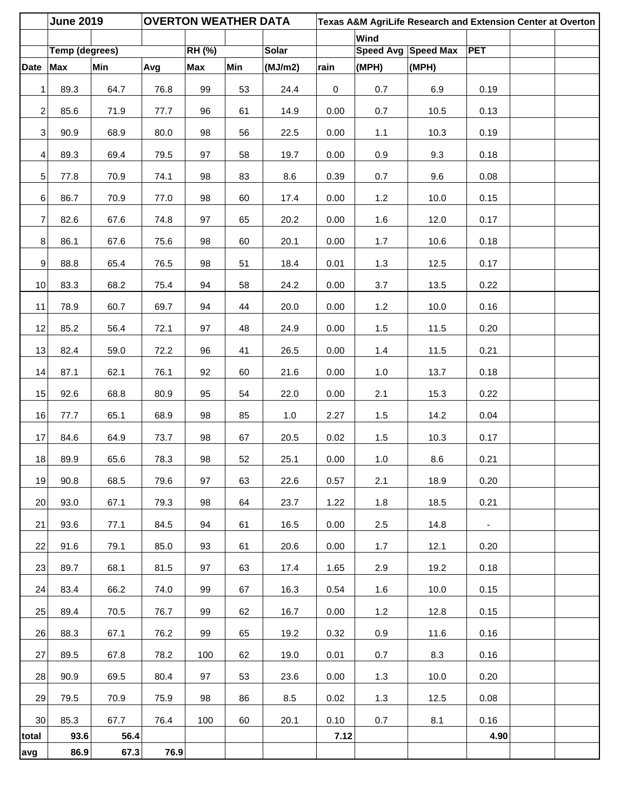|                 | <b>June 2019</b>      |      | <b>OVERTON WEATHER DATA</b> |               |     |              | Texas A&M AgriLife Research and Extension Center at Overton |       |                     |                |  |
|-----------------|-----------------------|------|-----------------------------|---------------|-----|--------------|-------------------------------------------------------------|-------|---------------------|----------------|--|
|                 |                       |      |                             |               |     |              |                                                             | Wind  |                     |                |  |
|                 | <b>Temp (degrees)</b> |      |                             | <b>RH (%)</b> |     | <b>Solar</b> |                                                             |       | Speed Avg Speed Max | <b>PET</b>     |  |
| <b>Date</b>     | <b>Max</b>            | Min  | Avg                         | <b>Max</b>    | Min | (MJ/m2)      | rain                                                        | (MPH) | (MPH)               |                |  |
| 1               | 89.3                  | 64.7 | 76.8                        | 99            | 53  | 24.4         | $\mathsf 0$                                                 | 0.7   | 6.9                 | 0.19           |  |
| $\overline{2}$  | 85.6                  | 71.9 | 77.7                        | 96            | 61  | 14.9         | 0.00                                                        | 0.7   | 10.5                | 0.13           |  |
| $\mathbf{3}$    | 90.9                  | 68.9 | 80.0                        | 98            | 56  | 22.5         | 0.00                                                        | 1.1   | 10.3                | 0.19           |  |
| $\overline{4}$  | 89.3                  | 69.4 | 79.5                        | 97            | 58  | 19.7         | 0.00                                                        | 0.9   | 9.3                 | 0.18           |  |
| 5 <sup>1</sup>  | 77.8                  | 70.9 | 74.1                        | 98            | 83  | 8.6          | 0.39                                                        | 0.7   | 9.6                 | 0.08           |  |
| $\sqrt{6}$      | 86.7                  | 70.9 | 77.0                        | 98            | 60  | 17.4         | 0.00                                                        | $1.2$ | 10.0                | 0.15           |  |
| $\overline{7}$  | 82.6                  | 67.6 | 74.8                        | 97            | 65  | 20.2         | 0.00                                                        | $1.6$ | 12.0                | 0.17           |  |
| 8               | 86.1                  | 67.6 | 75.6                        | 98            | 60  | 20.1         | 0.00                                                        | 1.7   | 10.6                | 0.18           |  |
| 9               | 88.8                  | 65.4 | 76.5                        | 98            | 51  | 18.4         | 0.01                                                        | 1.3   | 12.5                | 0.17           |  |
| 10              | 83.3                  | 68.2 | 75.4                        | 94            | 58  | 24.2         | 0.00                                                        | 3.7   | 13.5                | 0.22           |  |
| 11              | 78.9                  | 60.7 | 69.7                        | 94            | 44  | 20.0         | 0.00                                                        | $1.2$ | 10.0                | 0.16           |  |
| 12              | 85.2                  | 56.4 | 72.1                        | 97            | 48  | 24.9         | 0.00                                                        | 1.5   | 11.5                | 0.20           |  |
| 13              | 82.4                  | 59.0 | 72.2                        | 96            | 41  | 26.5         | 0.00                                                        | 1.4   | 11.5                | 0.21           |  |
| 14              | 87.1                  | 62.1 | 76.1                        | 92            | 60  | 21.6         | 0.00                                                        | 1.0   | 13.7                | 0.18           |  |
| 15              | 92.6                  | 68.8 | 80.9                        | 95            | 54  | 22.0         | 0.00                                                        | 2.1   | 15.3                | 0.22           |  |
| 16              | 77.7                  | 65.1 | 68.9                        | 98            | 85  | 1.0          | 2.27                                                        | 1.5   | 14.2                | 0.04           |  |
| 17              | 84.6                  | 64.9 | 73.7                        | 98            | 67  | 20.5         | 0.02                                                        | 1.5   | 10.3                | 0.17           |  |
| 18              | 89.9                  | 65.6 | 78.3                        | 98            | 52  | 25.1         | 0.00                                                        | $1.0$ | $8.6\,$             | 0.21           |  |
| 19              | 90.8                  | 68.5 | 79.6                        | 97            | 63  | 22.6         | 0.57                                                        | 2.1   | 18.9                | 0.20           |  |
| 20              | 93.0                  | 67.1 | 79.3                        | 98            | 64  | 23.7         | 1.22                                                        | 1.8   | 18.5                | 0.21           |  |
| 21              | 93.6                  | 77.1 | 84.5                        | 94            | 61  | 16.5         | 0.00                                                        | 2.5   | 14.8                | $\blacksquare$ |  |
| 22              | 91.6                  | 79.1 | 85.0                        | 93            | 61  | 20.6         | 0.00                                                        | 1.7   | 12.1                | 0.20           |  |
| 23              | 89.7                  | 68.1 | 81.5                        | 97            | 63  | 17.4         | 1.65                                                        | 2.9   | 19.2                | 0.18           |  |
| 24              | 83.4                  | 66.2 | 74.0                        | 99            | 67  | 16.3         | 0.54                                                        | 1.6   | 10.0                | 0.15           |  |
| 25              | 89.4                  | 70.5 | 76.7                        | 99            | 62  | 16.7         | 0.00                                                        | 1.2   | 12.8                | 0.15           |  |
| 26              | 88.3                  | 67.1 | 76.2                        | 99            | 65  | 19.2         | 0.32                                                        | 0.9   | 11.6                | 0.16           |  |
| 27              | 89.5                  | 67.8 | 78.2                        | 100           | 62  | 19.0         | 0.01                                                        | 0.7   | 8.3                 | 0.16           |  |
| 28              | 90.9                  | 69.5 | 80.4                        | 97            | 53  | 23.6         | 0.00                                                        | 1.3   | 10.0                | 0.20           |  |
| 29              | 79.5                  | 70.9 | 75.9                        | 98            | 86  | 8.5          | 0.02                                                        | 1.3   | 12.5                | 0.08           |  |
| 30 <sup>°</sup> | 85.3                  | 67.7 | 76.4                        | 100           | 60  | 20.1         | 0.10                                                        | 0.7   | 8.1                 | 0.16           |  |
| total           | 93.6                  | 56.4 |                             |               |     |              | 7.12                                                        |       |                     | 4.90           |  |
| avg             | 86.9                  | 67.3 | 76.9                        |               |     |              |                                                             |       |                     |                |  |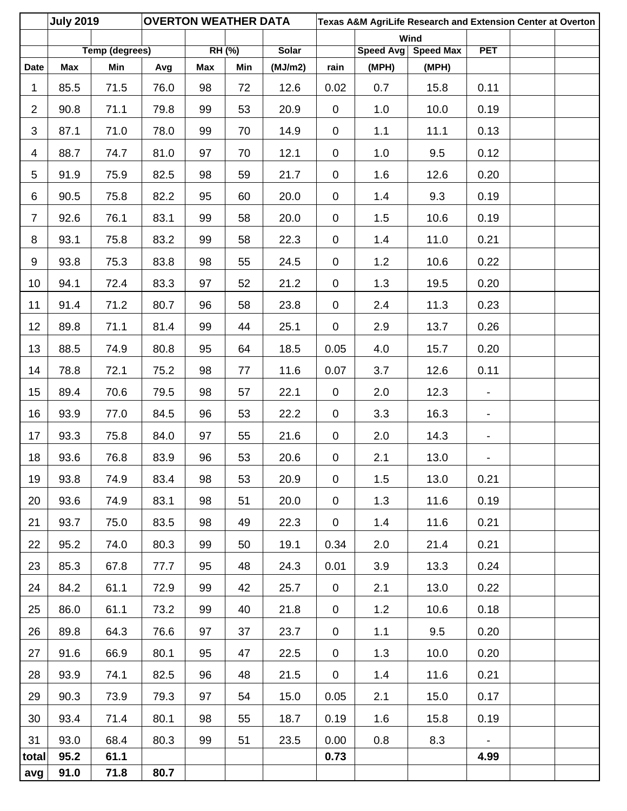|                | <b>July 2019</b> |                       | <b>OVERTON WEATHER DATA</b> |            |        |         |             |           | Texas A&M AgriLife Research and Extension Center at Overton |                              |  |
|----------------|------------------|-----------------------|-----------------------------|------------|--------|---------|-------------|-----------|-------------------------------------------------------------|------------------------------|--|
|                |                  | <b>Temp (degrees)</b> |                             |            | RH (%) | Solar   |             | Speed Avg | Wind<br><b>Speed Max</b>                                    | <b>PET</b>                   |  |
| <b>Date</b>    | Max              | Min                   | Avg                         | <b>Max</b> | Min    | (MJ/m2) | rain        | (MPH)     | (MPH)                                                       |                              |  |
| 1              | 85.5             | 71.5                  | 76.0                        | 98         | 72     | 12.6    | 0.02        | 0.7       | 15.8                                                        | 0.11                         |  |
| $\overline{2}$ | 90.8             | 71.1                  | 79.8                        | 99         | 53     | 20.9    | $\mathbf 0$ | 1.0       | 10.0                                                        | 0.19                         |  |
| 3              | 87.1             | 71.0                  | 78.0                        | 99         | 70     | 14.9    | $\mathbf 0$ | 1.1       | 11.1                                                        | 0.13                         |  |
| 4              | 88.7             | 74.7                  | 81.0                        | 97         | 70     | 12.1    | $\pmb{0}$   | 1.0       | 9.5                                                         | 0.12                         |  |
| 5              | 91.9             | 75.9                  | 82.5                        | 98         | 59     | 21.7    | $\mathbf 0$ | 1.6       | 12.6                                                        | 0.20                         |  |
| 6              | 90.5             | 75.8                  | 82.2                        | 95         | 60     | 20.0    | $\mathbf 0$ | 1.4       | 9.3                                                         | 0.19                         |  |
| $\overline{7}$ | 92.6             | 76.1                  | 83.1                        | 99         | 58     | 20.0    | $\mathbf 0$ | 1.5       | 10.6                                                        | 0.19                         |  |
| 8              | 93.1             | 75.8                  | 83.2                        | 99         | 58     | 22.3    | $\mathbf 0$ | 1.4       | 11.0                                                        | 0.21                         |  |
| 9              | 93.8             | 75.3                  | 83.8                        | 98         | 55     | 24.5    | $\mathbf 0$ | 1.2       | 10.6                                                        | 0.22                         |  |
| 10             | 94.1             | 72.4                  | 83.3                        | 97         | 52     | 21.2    | $\mathbf 0$ | 1.3       | 19.5                                                        | 0.20                         |  |
| 11             | 91.4             | 71.2                  | 80.7                        | 96         | 58     | 23.8    | $\mathbf 0$ | 2.4       | 11.3                                                        | 0.23                         |  |
| 12             | 89.8             | 71.1                  | 81.4                        | 99         | 44     | 25.1    | $\mathbf 0$ | 2.9       | 13.7                                                        | 0.26                         |  |
| 13             | 88.5             | 74.9                  | 80.8                        | 95         | 64     | 18.5    | 0.05        | 4.0       | 15.7                                                        | 0.20                         |  |
| 14             | 78.8             | 72.1                  | 75.2                        | 98         | 77     | 11.6    | 0.07        | 3.7       | 12.6                                                        | 0.11                         |  |
| 15             | 89.4             | 70.6                  | 79.5                        | 98         | 57     | 22.1    | $\mathbf 0$ | 2.0       | 12.3                                                        | $\overline{\phantom{a}}$     |  |
| 16             | 93.9             | 77.0                  | 84.5                        | 96         | 53     | 22.2    | $\mathbf 0$ | 3.3       | 16.3                                                        | $\overline{\phantom{a}}$     |  |
| 17             | 93.3             | 75.8                  | 84.0                        | 97         | 55     | 21.6    | $\mathbf 0$ | 2.0       | 14.3                                                        | $\qquad \qquad \blacksquare$ |  |
| 18             | 93.6             | 76.8                  | 83.9                        | 96         | 53     | 20.6    | $\pmb{0}$   | 2.1       | 13.0                                                        | $\qquad \qquad \blacksquare$ |  |
| 19             | 93.8             | 74.9                  | 83.4                        | 98         | 53     | 20.9    | $\mathbf 0$ | 1.5       | 13.0                                                        | 0.21                         |  |
| 20             | 93.6             | 74.9                  | 83.1                        | 98         | 51     | 20.0    | $\mathbf 0$ | 1.3       | 11.6                                                        | 0.19                         |  |
| 21             | 93.7             | 75.0                  | 83.5                        | 98         | 49     | 22.3    | $\mathbf 0$ | 1.4       | 11.6                                                        | 0.21                         |  |
| 22             | 95.2             | 74.0                  | 80.3                        | 99         | 50     | 19.1    | 0.34        | 2.0       | 21.4                                                        | 0.21                         |  |
| 23             | 85.3             | 67.8                  | 77.7                        | 95         | 48     | 24.3    | 0.01        | 3.9       | 13.3                                                        | 0.24                         |  |
| 24             | 84.2             | 61.1                  | 72.9                        | 99         | 42     | 25.7    | $\mathbf 0$ | 2.1       | 13.0                                                        | 0.22                         |  |
| 25             | 86.0             | 61.1                  | 73.2                        | 99         | 40     | 21.8    | $\mathbf 0$ | 1.2       | 10.6                                                        | 0.18                         |  |
| 26             | 89.8             | 64.3                  | 76.6                        | 97         | 37     | 23.7    | $\mathbf 0$ | 1.1       | 9.5                                                         | 0.20                         |  |
| 27             | 91.6             | 66.9                  | 80.1                        | 95         | 47     | 22.5    | $\mathbf 0$ | 1.3       | 10.0                                                        | 0.20                         |  |
| 28             | 93.9             | 74.1                  | 82.5                        | 96         | 48     | 21.5    | $\mathbf 0$ | 1.4       | 11.6                                                        | 0.21                         |  |
| 29             | 90.3             | 73.9                  | 79.3                        | 97         | 54     | 15.0    | 0.05        | 2.1       | 15.0                                                        | 0.17                         |  |
| 30             | 93.4             | 71.4                  | 80.1                        | 98         | 55     | 18.7    | 0.19        | 1.6       | 15.8                                                        | 0.19                         |  |
| 31             | 93.0             | 68.4                  | 80.3                        | 99         | 51     | 23.5    | 0.00        | 0.8       | 8.3                                                         |                              |  |
| total          | 95.2             | 61.1                  |                             |            |        |         | 0.73        |           |                                                             | 4.99                         |  |
| avg            | 91.0             | 71.8                  | 80.7                        |            |        |         |             |           |                                                             |                              |  |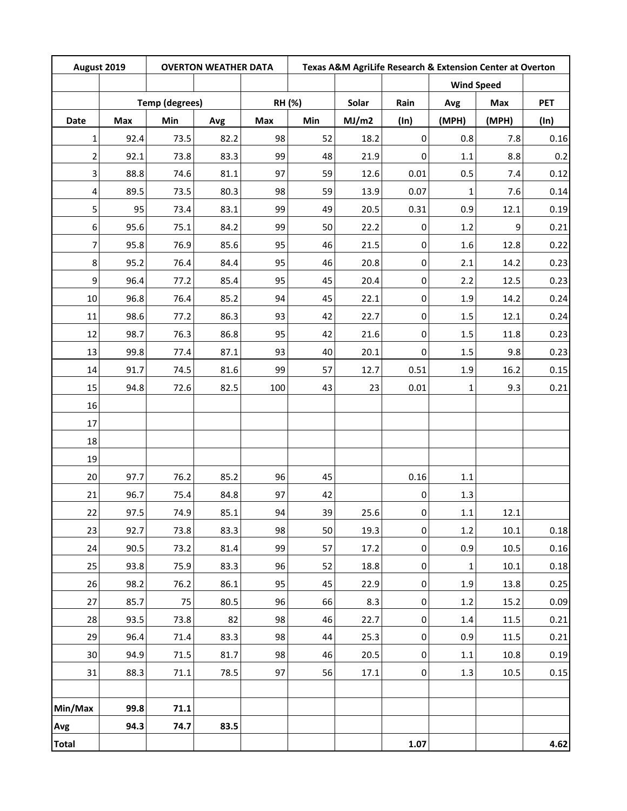| August 2019    |                       | <b>OVERTON WEATHER DATA</b> |      |        | Texas A&M AgriLife Research & Extension Center at Overton |       |             |                   |       |            |
|----------------|-----------------------|-----------------------------|------|--------|-----------------------------------------------------------|-------|-------------|-------------------|-------|------------|
|                | <b>Temp (degrees)</b> |                             |      |        |                                                           |       |             | <b>Wind Speed</b> |       |            |
|                |                       |                             |      | RH (%) |                                                           | Solar | Rain        | Avg               | Max   | <b>PET</b> |
| <b>Date</b>    | Max                   | Min                         | Avg  | Max    | Min                                                       | MJ/m2 | $(\ln)$     | (MPH)             | (MPH) | (ln)       |
| $\mathbf{1}$   | 92.4                  | 73.5                        | 82.2 | 98     | 52                                                        | 18.2  | $\mathbf 0$ | 0.8               | 7.8   | 0.16       |
| $\overline{2}$ | 92.1                  | 73.8                        | 83.3 | 99     | 48                                                        | 21.9  | 0           | $1.1\,$           | 8.8   | 0.2        |
| 3              | 88.8                  | 74.6                        | 81.1 | 97     | 59                                                        | 12.6  | 0.01        | 0.5               | 7.4   | 0.12       |
| 4              | 89.5                  | 73.5                        | 80.3 | 98     | 59                                                        | 13.9  | 0.07        | 1                 | 7.6   | 0.14       |
| 5              | 95                    | 73.4                        | 83.1 | 99     | 49                                                        | 20.5  | 0.31        | 0.9               | 12.1  | 0.19       |
| 6              | 95.6                  | 75.1                        | 84.2 | 99     | 50                                                        | 22.2  | $\mathbf 0$ | 1.2               | 9     | 0.21       |
| 7              | 95.8                  | 76.9                        | 85.6 | 95     | 46                                                        | 21.5  | $\pmb{0}$   | 1.6               | 12.8  | 0.22       |
| 8              | 95.2                  | 76.4                        | 84.4 | 95     | 46                                                        | 20.8  | 0           | 2.1               | 14.2  | 0.23       |
| 9              | 96.4                  | 77.2                        | 85.4 | 95     | 45                                                        | 20.4  | $\pmb{0}$   | 2.2               | 12.5  | 0.23       |
| $10\,$         | 96.8                  | 76.4                        | 85.2 | 94     | 45                                                        | 22.1  | 0           | 1.9               | 14.2  | 0.24       |
| 11             | 98.6                  | 77.2                        | 86.3 | 93     | 42                                                        | 22.7  | 0           | 1.5               | 12.1  | 0.24       |
| 12             | 98.7                  | 76.3                        | 86.8 | 95     | 42                                                        | 21.6  | 0           | 1.5               | 11.8  | 0.23       |
| 13             | 99.8                  | 77.4                        | 87.1 | 93     | 40                                                        | 20.1  | $\mathbf 0$ | 1.5               | 9.8   | 0.23       |
| 14             | 91.7                  | 74.5                        | 81.6 | 99     | 57                                                        | 12.7  | 0.51        | 1.9               | 16.2  | 0.15       |
| 15             | 94.8                  | 72.6                        | 82.5 | 100    | 43                                                        | 23    | 0.01        | 1                 | 9.3   | 0.21       |
| 16             |                       |                             |      |        |                                                           |       |             |                   |       |            |
| 17             |                       |                             |      |        |                                                           |       |             |                   |       |            |
| 18             |                       |                             |      |        |                                                           |       |             |                   |       |            |
| 19             |                       |                             |      |        |                                                           |       |             |                   |       |            |
| 20             | 97.7                  | 76.2                        | 85.2 | 96     | 45                                                        |       | 0.16        | $1.1\,$           |       |            |
| 21             | 96.7                  | 75.4                        | 84.8 | 97     | 42                                                        |       | 0           | 1.3               |       |            |
| 22             | 97.5                  | 74.9                        | 85.1 | 94     | 39                                                        | 25.6  | $\pmb{0}$   | $1.1\,$           | 12.1  |            |
| 23             | 92.7                  | 73.8                        | 83.3 | 98     | 50                                                        | 19.3  | $\pmb{0}$   | 1.2               | 10.1  | 0.18       |
| 24             | 90.5                  | 73.2                        | 81.4 | 99     | 57                                                        | 17.2  | $\pmb{0}$   | 0.9               | 10.5  | 0.16       |
| 25             | 93.8                  | 75.9                        | 83.3 | 96     | 52                                                        | 18.8  | $\pmb{0}$   | $\mathbf{1}$      | 10.1  | 0.18       |
| 26             | 98.2                  | 76.2                        | 86.1 | 95     | 45                                                        | 22.9  | $\pmb{0}$   | $1.9\,$           | 13.8  | 0.25       |
| 27             | 85.7                  | 75                          | 80.5 | 96     | 66                                                        | 8.3   | $\pmb{0}$   | $1.2$             | 15.2  | 0.09       |
| 28             | 93.5                  | 73.8                        | 82   | 98     | 46                                                        | 22.7  | $\pmb{0}$   | $1.4\,$           | 11.5  | 0.21       |
| 29             | 96.4                  | 71.4                        | 83.3 | 98     | 44                                                        | 25.3  | $\pmb{0}$   | 0.9               | 11.5  | 0.21       |
| 30             | 94.9                  | 71.5                        | 81.7 | 98     | 46                                                        | 20.5  | $\pmb{0}$   | $1.1\,$           | 10.8  | 0.19       |
| 31             | 88.3                  | 71.1                        | 78.5 | 97     | 56                                                        | 17.1  | $\pmb{0}$   | 1.3               | 10.5  | 0.15       |
|                |                       |                             |      |        |                                                           |       |             |                   |       |            |
| Min/Max        | 99.8                  | 71.1                        |      |        |                                                           |       |             |                   |       |            |
| Avg            | 94.3                  | 74.7                        | 83.5 |        |                                                           |       |             |                   |       |            |
| <b>Total</b>   |                       |                             |      |        |                                                           |       | 1.07        |                   |       | 4.62       |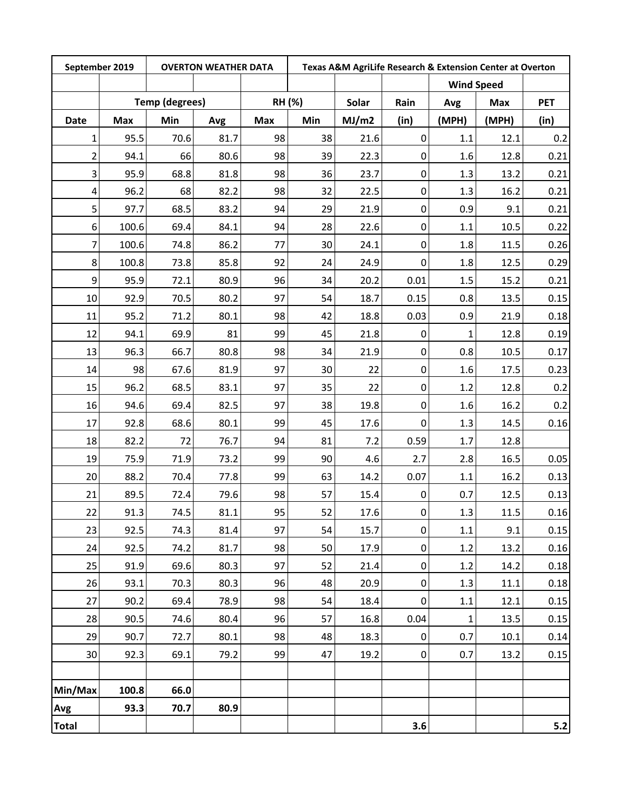| September 2019 |                       |      | <b>OVERTON WEATHER DATA</b> |               |     |       |                  | Texas A&M AgriLife Research & Extension Center at Overton |            |            |  |
|----------------|-----------------------|------|-----------------------------|---------------|-----|-------|------------------|-----------------------------------------------------------|------------|------------|--|
|                | <b>Temp (degrees)</b> |      |                             |               |     |       |                  | <b>Wind Speed</b>                                         |            |            |  |
|                |                       |      |                             | <b>RH (%)</b> |     | Solar | Rain             | Avg                                                       | <b>Max</b> | <b>PET</b> |  |
| Date           | <b>Max</b>            | Min  | Avg                         | <b>Max</b>    | Min | MJ/m2 | (in)             | (MPH)                                                     | (MPH)      | (in)       |  |
| $\mathbf{1}$   | 95.5                  | 70.6 | 81.7                        | 98            | 38  | 21.6  | $\boldsymbol{0}$ | 1.1                                                       | 12.1       | 0.2        |  |
| $\overline{2}$ | 94.1                  | 66   | 80.6                        | 98            | 39  | 22.3  | 0                | 1.6                                                       | 12.8       | 0.21       |  |
| 3              | 95.9                  | 68.8 | 81.8                        | 98            | 36  | 23.7  | 0                | 1.3                                                       | 13.2       | 0.21       |  |
| 4              | 96.2                  | 68   | 82.2                        | 98            | 32  | 22.5  | $\boldsymbol{0}$ | 1.3                                                       | 16.2       | 0.21       |  |
| 5              | 97.7                  | 68.5 | 83.2                        | 94            | 29  | 21.9  | $\boldsymbol{0}$ | 0.9                                                       | 9.1        | 0.21       |  |
| 6              | 100.6                 | 69.4 | 84.1                        | 94            | 28  | 22.6  | $\mathbf 0$      | 1.1                                                       | 10.5       | 0.22       |  |
| 7              | 100.6                 | 74.8 | 86.2                        | 77            | 30  | 24.1  | $\boldsymbol{0}$ | 1.8                                                       | 11.5       | 0.26       |  |
| 8              | 100.8                 | 73.8 | 85.8                        | 92            | 24  | 24.9  | $\boldsymbol{0}$ | 1.8                                                       | 12.5       | 0.29       |  |
| 9              | 95.9                  | 72.1 | 80.9                        | 96            | 34  | 20.2  | 0.01             | 1.5                                                       | 15.2       | 0.21       |  |
| 10             | 92.9                  | 70.5 | 80.2                        | 97            | 54  | 18.7  | 0.15             | 0.8                                                       | 13.5       | 0.15       |  |
| 11             | 95.2                  | 71.2 | 80.1                        | 98            | 42  | 18.8  | 0.03             | 0.9                                                       | 21.9       | 0.18       |  |
| 12             | 94.1                  | 69.9 | 81                          | 99            | 45  | 21.8  | 0                | 1                                                         | 12.8       | 0.19       |  |
| 13             | 96.3                  | 66.7 | 80.8                        | 98            | 34  | 21.9  | $\pmb{0}$        | 0.8                                                       | 10.5       | 0.17       |  |
| 14             | 98                    | 67.6 | 81.9                        | 97            | 30  | 22    | 0                | 1.6                                                       | 17.5       | 0.23       |  |
| 15             | 96.2                  | 68.5 | 83.1                        | 97            | 35  | 22    | $\boldsymbol{0}$ | 1.2                                                       | 12.8       | 0.2        |  |
| 16             | 94.6                  | 69.4 | 82.5                        | 97            | 38  | 19.8  | $\boldsymbol{0}$ | 1.6                                                       | 16.2       | 0.2        |  |
| 17             | 92.8                  | 68.6 | 80.1                        | 99            | 45  | 17.6  | $\mathbf 0$      | 1.3                                                       | 14.5       | 0.16       |  |
| 18             | 82.2                  | 72   | 76.7                        | 94            | 81  | 7.2   | 0.59             | 1.7                                                       | 12.8       |            |  |
| 19             | 75.9                  | 71.9 | 73.2                        | 99            | 90  | 4.6   | 2.7              | 2.8                                                       | 16.5       | 0.05       |  |
| 20             | 88.2                  | 70.4 | 77.8                        | 99            | 63  | 14.2  | 0.07             | 1.1                                                       | 16.2       | 0.13       |  |
| 21             | 89.5                  | 72.4 | 79.6                        | 98            | 57  | 15.4  | 0                | 0.7                                                       | 12.5       | 0.13       |  |
| 22             | 91.3                  | 74.5 | 81.1                        | 95            | 52  | 17.6  | $\pmb{0}$        | 1.3                                                       | 11.5       | 0.16       |  |
| 23             | 92.5                  | 74.3 | 81.4                        | 97            | 54  | 15.7  | $\pmb{0}$        | 1.1                                                       | 9.1        | 0.15       |  |
| 24             | 92.5                  | 74.2 | 81.7                        | 98            | 50  | 17.9  | $\pmb{0}$        | 1.2                                                       | 13.2       | 0.16       |  |
| 25             | 91.9                  | 69.6 | 80.3                        | 97            | 52  | 21.4  | $\boldsymbol{0}$ | 1.2                                                       | 14.2       | 0.18       |  |
| 26             | 93.1                  | 70.3 | 80.3                        | 96            | 48  | 20.9  | $\pmb{0}$        | 1.3                                                       | 11.1       | 0.18       |  |
| 27             | 90.2                  | 69.4 | 78.9                        | 98            | 54  | 18.4  | $\boldsymbol{0}$ | 1.1                                                       | 12.1       | 0.15       |  |
| 28             | 90.5                  | 74.6 | 80.4                        | 96            | 57  | 16.8  | 0.04             | $\mathbf{1}$                                              | 13.5       | 0.15       |  |
| 29             | 90.7                  | 72.7 | 80.1                        | 98            | 48  | 18.3  | $\pmb{0}$        | 0.7                                                       | 10.1       | 0.14       |  |
| 30             | 92.3                  | 69.1 | 79.2                        | 99            | 47  | 19.2  | $\pmb{0}$        | 0.7                                                       | 13.2       | 0.15       |  |
| Min/Max        | 100.8                 | 66.0 |                             |               |     |       |                  |                                                           |            |            |  |
| Avg            | 93.3                  | 70.7 | 80.9                        |               |     |       |                  |                                                           |            |            |  |
| <b>Total</b>   |                       |      |                             |               |     |       | 3.6              |                                                           |            | 5.2        |  |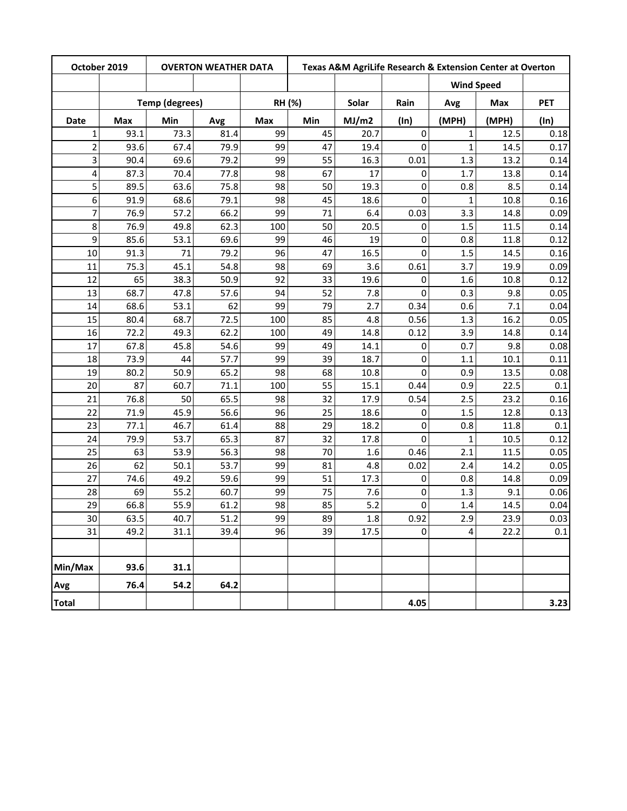| October 2019   |      | <b>OVERTON WEATHER DATA</b> |      |     |        |       |             |                   | Texas A&M AgriLife Research & Extension Center at Overton |            |
|----------------|------|-----------------------------|------|-----|--------|-------|-------------|-------------------|-----------------------------------------------------------|------------|
|                |      |                             |      |     |        |       |             | <b>Wind Speed</b> |                                                           |            |
|                |      | <b>Temp (degrees)</b>       |      |     | RH (%) | Solar | Rain        | Avg               | Max                                                       | <b>PET</b> |
| <b>Date</b>    | Max  | Min                         | Avg  | Max | Min    | MJ/m2 | (ln)        | (MPH)             | (MPH)                                                     | (ln)       |
| $\mathbf{1}$   | 93.1 | 73.3                        | 81.4 | 99  | 45     | 20.7  | $\mathbf 0$ | $\mathbf{1}$      | 12.5                                                      | 0.18       |
| $\overline{2}$ | 93.6 | 67.4                        | 79.9 | 99  | 47     | 19.4  | 0           | $\mathbf{1}$      | 14.5                                                      | 0.17       |
| 3              | 90.4 | 69.6                        | 79.2 | 99  | 55     | 16.3  | 0.01        | 1.3               | 13.2                                                      | 0.14       |
| 4              | 87.3 | 70.4                        | 77.8 | 98  | 67     | 17    | 0           | 1.7               | 13.8                                                      | 0.14       |
| 5              | 89.5 | 63.6                        | 75.8 | 98  | 50     | 19.3  | 0           | 0.8               | 8.5                                                       | 0.14       |
| 6              | 91.9 | 68.6                        | 79.1 | 98  | 45     | 18.6  | 0           | 1                 | 10.8                                                      | 0.16       |
| 7              | 76.9 | 57.2                        | 66.2 | 99  | 71     | 6.4   | 0.03        | 3.3               | 14.8                                                      | 0.09       |
| 8              | 76.9 | 49.8                        | 62.3 | 100 | 50     | 20.5  | 0           | 1.5               | 11.5                                                      | 0.14       |
| 9              | 85.6 | 53.1                        | 69.6 | 99  | 46     | 19    | 0           | 0.8               | 11.8                                                      | 0.12       |
| 10             | 91.3 | 71                          | 79.2 | 96  | 47     | 16.5  | 0           | 1.5               | 14.5                                                      | 0.16       |
| 11             | 75.3 | 45.1                        | 54.8 | 98  | 69     | 3.6   | 0.61        | 3.7               | 19.9                                                      | 0.09       |
| 12             | 65   | 38.3                        | 50.9 | 92  | 33     | 19.6  | 0           | 1.6               | 10.8                                                      | 0.12       |
| 13             | 68.7 | 47.8                        | 57.6 | 94  | 52     | 7.8   | 0           | 0.3               | 9.8                                                       | 0.05       |
| 14             | 68.6 | 53.1                        | 62   | 99  | 79     | 2.7   | 0.34        | 0.6               | 7.1                                                       | 0.04       |
| 15             | 80.4 | 68.7                        | 72.5 | 100 | 85     | 4.8   | 0.56        | 1.3               | 16.2                                                      | 0.05       |
| 16             | 72.2 | 49.3                        | 62.2 | 100 | 49     | 14.8  | 0.12        | 3.9               | 14.8                                                      | 0.14       |
| 17             | 67.8 | 45.8                        | 54.6 | 99  | 49     | 14.1  | 0           | 0.7               | 9.8                                                       | 0.08       |
| 18             | 73.9 | 44                          | 57.7 | 99  | 39     | 18.7  | 0           | 1.1               | 10.1                                                      | 0.11       |
| 19             | 80.2 | 50.9                        | 65.2 | 98  | 68     | 10.8  | 0           | 0.9               | 13.5                                                      | 0.08       |
| 20             | 87   | 60.7                        | 71.1 | 100 | 55     | 15.1  | 0.44        | 0.9               | 22.5                                                      | 0.1        |
| 21             | 76.8 | 50                          | 65.5 | 98  | 32     | 17.9  | 0.54        | 2.5               | 23.2                                                      | 0.16       |
| 22             | 71.9 | 45.9                        | 56.6 | 96  | 25     | 18.6  | 0           | 1.5               | 12.8                                                      | 0.13       |
| 23             | 77.1 | 46.7                        | 61.4 | 88  | 29     | 18.2  | 0           | 0.8               | 11.8                                                      | 0.1        |
| 24             | 79.9 | 53.7                        | 65.3 | 87  | 32     | 17.8  | 0           | $\mathbf{1}$      | 10.5                                                      | 0.12       |
| 25             | 63   | 53.9                        | 56.3 | 98  | 70     | 1.6   | 0.46        | 2.1               | 11.5                                                      | 0.05       |
| 26             | 62   | 50.1                        | 53.7 | 99  | 81     | 4.8   | 0.02        | 2.4               | 14.2                                                      | 0.05       |
| 27             | 74.6 | 49.2                        | 59.6 | 99  | 51     | 17.3  | 0           | 0.8               | 14.8                                                      | 0.09       |
| 28             | 69   | 55.2                        | 60.7 | 99  | 75     | 7.6   | 0           | 1.3               | 9.1                                                       | 0.06       |
| 29             | 66.8 | 55.9                        | 61.2 | 98  | 85     | 5.2   | 0           | 1.4               | 14.5                                                      | 0.04       |
| 30             | 63.5 | 40.7                        | 51.2 | 99  | 89     | 1.8   | 0.92        | 2.9               | 23.9                                                      | 0.03       |
| 31             | 49.2 | 31.1                        | 39.4 | 96  | 39     | 17.5  | 0           | 4                 | 22.2                                                      | 0.1        |
|                |      |                             |      |     |        |       |             |                   |                                                           |            |
| Min/Max        | 93.6 | 31.1                        |      |     |        |       |             |                   |                                                           |            |
| Avg            | 76.4 | 54.2                        | 64.2 |     |        |       |             |                   |                                                           |            |
| <b>Total</b>   |      |                             |      |     |        |       | 4.05        |                   |                                                           | 3.23       |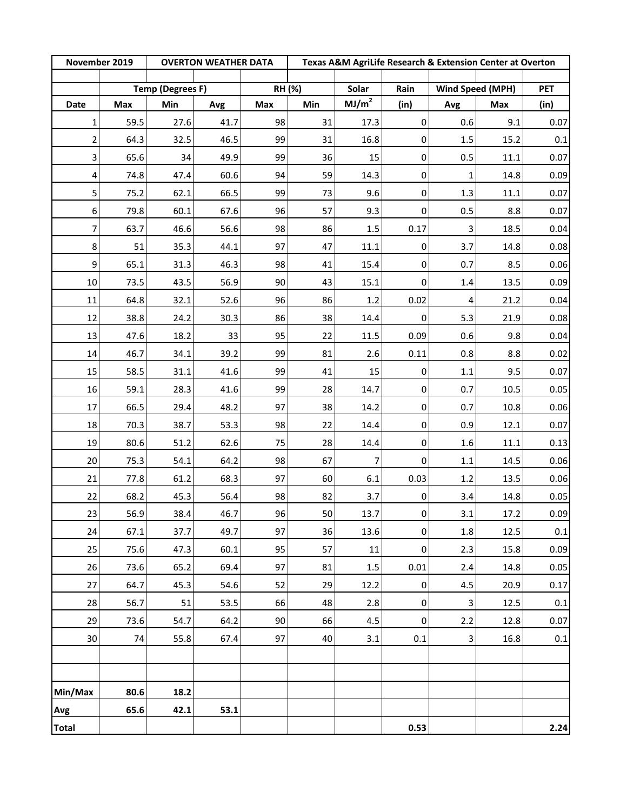| November 2019  |      |                         | <b>OVERTON WEATHER DATA</b> |        |     |                   |                     | Texas A&M AgriLife Research & Extension Center at Overton<br>Wind Speed (MPH) |      |            |
|----------------|------|-------------------------|-----------------------------|--------|-----|-------------------|---------------------|-------------------------------------------------------------------------------|------|------------|
|                |      | <b>Temp (Degrees F)</b> |                             | RH (%) |     | Solar             | Rain                |                                                                               |      | <b>PET</b> |
| Date           | Max  | Min                     | Avg                         | Max    | Min | MJ/m <sup>2</sup> | (in)                | Avg                                                                           | Max  | (in)       |
| $\mathbf{1}$   | 59.5 | 27.6                    | 41.7                        | 98     | 31  | 17.3              | $\pmb{0}$           | 0.6                                                                           | 9.1  | 0.07       |
| $\overline{2}$ | 64.3 | 32.5                    | 46.5                        | 99     | 31  | 16.8              | 0                   | $1.5\,$                                                                       | 15.2 | 0.1        |
| 3              | 65.6 | 34                      | 49.9                        | 99     | 36  | 15                | $\pmb{0}$           | 0.5                                                                           | 11.1 | 0.07       |
| 4              | 74.8 | 47.4                    | 60.6                        | 94     | 59  | 14.3              | $\pmb{0}$           | 1                                                                             | 14.8 | 0.09       |
| 5              | 75.2 | 62.1                    | 66.5                        | 99     | 73  | 9.6               | 0                   | 1.3                                                                           | 11.1 | 0.07       |
| 6              | 79.8 | 60.1                    | 67.6                        | 96     | 57  | 9.3               | 0                   | 0.5                                                                           | 8.8  | 0.07       |
| 7              | 63.7 | 46.6                    | 56.6                        | 98     | 86  | 1.5               | 0.17                | 3                                                                             | 18.5 | 0.04       |
| 8              | 51   | 35.3                    | 44.1                        | 97     | 47  | 11.1              | 0                   | 3.7                                                                           | 14.8 | 0.08       |
| 9              | 65.1 | 31.3                    | 46.3                        | 98     | 41  | 15.4              | 0                   | 0.7                                                                           | 8.5  | 0.06       |
| 10             | 73.5 | 43.5                    | 56.9                        | 90     | 43  | 15.1              | 0                   | 1.4                                                                           | 13.5 | 0.09       |
| $11\,$         | 64.8 | 32.1                    | 52.6                        | 96     | 86  | 1.2               | 0.02                | $\overline{4}$                                                                | 21.2 | 0.04       |
| 12             | 38.8 | 24.2                    | 30.3                        | 86     | 38  | 14.4              | 0                   | 5.3                                                                           | 21.9 | 0.08       |
| 13             | 47.6 | 18.2                    | 33                          | 95     | 22  | 11.5              | 0.09                | 0.6                                                                           | 9.8  | 0.04       |
| 14             | 46.7 | 34.1                    | 39.2                        | 99     | 81  | 2.6               | 0.11                | 0.8                                                                           | 8.8  | 0.02       |
| 15             | 58.5 | 31.1                    | 41.6                        | 99     | 41  | 15                | 0                   | $1.1\,$                                                                       | 9.5  | 0.07       |
| 16             | 59.1 | 28.3                    | 41.6                        | 99     | 28  | 14.7              | 0                   | 0.7                                                                           | 10.5 | 0.05       |
| 17             | 66.5 | 29.4                    | 48.2                        | 97     | 38  | 14.2              | 0                   | 0.7                                                                           | 10.8 | 0.06       |
| 18             | 70.3 | 38.7                    | 53.3                        | 98     | 22  | 14.4              | 0                   | 0.9                                                                           | 12.1 | 0.07       |
| 19             | 80.6 | 51.2                    | 62.6                        | 75     | 28  | 14.4              | $\pmb{0}$           | $1.6\,$                                                                       | 11.1 | 0.13       |
| 20             | 75.3 | 54.1                    | 64.2                        | 98     | 67  | 7                 | 0                   | $1.1\,$                                                                       | 14.5 | 0.06       |
| 21             | 77.8 | 61.2                    | 68.3                        | 97     | 60  | 6.1               | 0.03                | $1.2\,$                                                                       | 13.5 | 0.06       |
| 22             | 68.2 | 45.3                    | 56.4                        | 98     | 82  | 3.7               | 0                   | 3.4                                                                           | 14.8 | 0.05       |
| 23             | 56.9 | 38.4                    | 46.7                        | 96     | 50  | 13.7              | $\pmb{0}$           | $3.1\,$                                                                       | 17.2 | 0.09       |
| 24             | 67.1 | 37.7                    | 49.7                        | 97     | 36  | 13.6              | $\mathbf 0$         | 1.8                                                                           | 12.5 | 0.1        |
| 25             | 75.6 | 47.3                    | 60.1                        | 95     | 57  | 11                | $\mathsf{O}\xspace$ | 2.3                                                                           | 15.8 | 0.09       |
| 26             | 73.6 | 65.2                    | 69.4                        | 97     | 81  | $1.5\,$           | 0.01                | 2.4                                                                           | 14.8 | 0.05       |
| 27             | 64.7 | 45.3                    | 54.6                        | 52     | 29  | 12.2              | 0                   | 4.5                                                                           | 20.9 | 0.17       |
| 28             | 56.7 | 51                      | 53.5                        | 66     | 48  | 2.8               | 0                   | $\mathbf{3}$                                                                  | 12.5 | 0.1        |
| 29             | 73.6 | 54.7                    | 64.2                        | 90     | 66  | 4.5               | 0                   | $2.2$                                                                         | 12.8 | 0.07       |
| 30             | 74   | 55.8                    | 67.4                        | 97     | 40  | 3.1               | 0.1                 | 3                                                                             | 16.8 | 0.1        |
|                |      |                         |                             |        |     |                   |                     |                                                                               |      |            |
|                |      |                         |                             |        |     |                   |                     |                                                                               |      |            |
| Min/Max        | 80.6 | 18.2                    |                             |        |     |                   |                     |                                                                               |      |            |
| Avg            | 65.6 | 42.1                    | 53.1                        |        |     |                   |                     |                                                                               |      |            |
| <b>Total</b>   |      |                         |                             |        |     |                   | 0.53                |                                                                               |      | 2.24       |